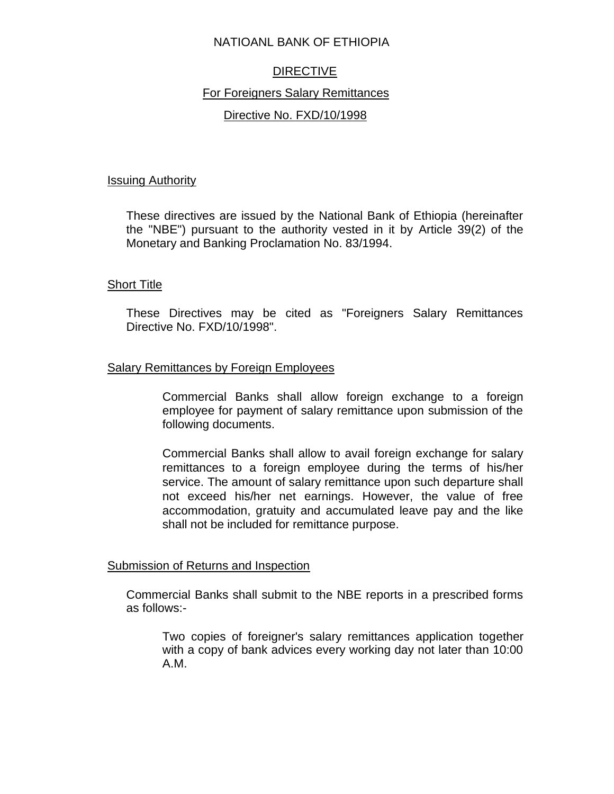## NATIOANL BANK OF ETHIOPIA

# DIRECTIVE

# For Foreigners Salary Remittances

# Directive No. FXD/10/1998

### Issuing Authority

These directives are issued by the National Bank of Ethiopia (hereinafter the "NBE") pursuant to the authority vested in it by Article 39(2) of the Monetary and Banking Proclamation No. 83/1994.

## Short Title

These Directives may be cited as "Foreigners Salary Remittances Directive No. FXD/10/1998".

## Salary Remittances by Foreign Employees

Commercial Banks shall allow foreign exchange to a foreign employee for payment of salary remittance upon submission of the following documents.

Commercial Banks shall allow to avail foreign exchange for salary remittances to a foreign employee during the terms of his/her service. The amount of salary remittance upon such departure shall not exceed his/her net earnings. However, the value of free accommodation, gratuity and accumulated leave pay and the like shall not be included for remittance purpose.

#### Submission of Returns and Inspection

Commercial Banks shall submit to the NBE reports in a prescribed forms as follows:-

Two copies of foreigner's salary remittances application together with a copy of bank advices every working day not later than 10:00 A.M.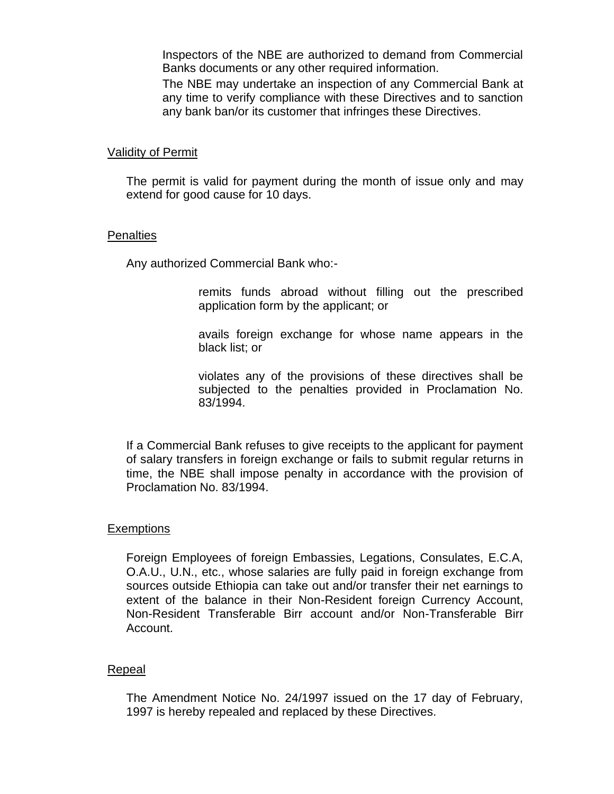Inspectors of the NBE are authorized to demand from Commercial Banks documents or any other required information.

The NBE may undertake an inspection of any Commercial Bank at any time to verify compliance with these Directives and to sanction any bank ban/or its customer that infringes these Directives.

### Validity of Permit

The permit is valid for payment during the month of issue only and may extend for good cause for 10 days.

#### **Penalties**

Any authorized Commercial Bank who:-

remits funds abroad without filling out the prescribed application form by the applicant; or

avails foreign exchange for whose name appears in the black list; or

violates any of the provisions of these directives shall be subjected to the penalties provided in Proclamation No. 83/1994.

If a Commercial Bank refuses to give receipts to the applicant for payment of salary transfers in foreign exchange or fails to submit regular returns in time, the NBE shall impose penalty in accordance with the provision of Proclamation No. 83/1994.

# **Exemptions**

Foreign Employees of foreign Embassies, Legations, Consulates, E.C.A, O.A.U., U.N., etc., whose salaries are fully paid in foreign exchange from sources outside Ethiopia can take out and/or transfer their net earnings to extent of the balance in their Non-Resident foreign Currency Account, Non-Resident Transferable Birr account and/or Non-Transferable Birr Account.

#### Repeal

The Amendment Notice No. 24/1997 issued on the 17 day of February, 1997 is hereby repealed and replaced by these Directives.